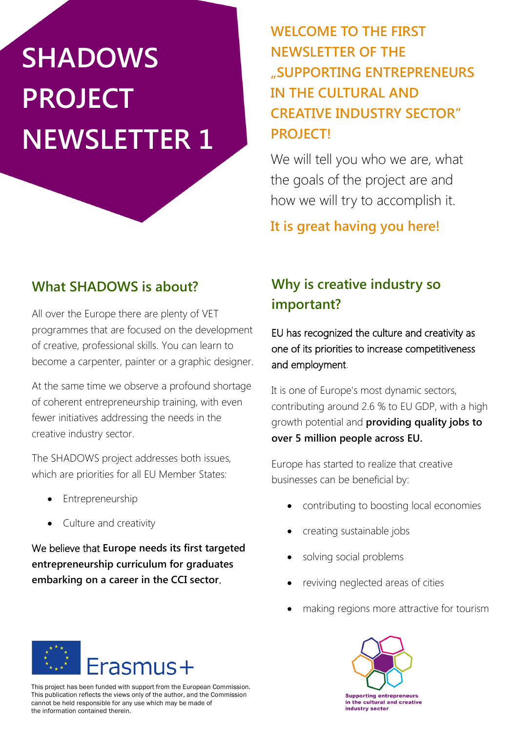# **SHADOWS PROJECT NEWSLETTER 1**

**WELCOME TO THE FIRST NEWSLETTER OF THE "SUPPORTING ENTREPRENEURS IN THE CULTURAL AND CREATIVE INDUSTRY SECTOR" PROJECT!**

We will tell you who we are, what the goals of the project are and how we will try to accomplish it.

**It is great having you here!**

# **What SHADOWS is about?**

All over the Europe there are plenty of VET programmes that are focused on the development of creative, professional skills. You can learn to become a carpenter, painter or a graphic designer.

At the same time we observe a profound shortage of coherent entrepreneurship training, with even fewer initiatives addressing the needs in the creative industry sector.

The SHADOWS project addresses both issues, which are priorities for all EU Member States:

- Entrepreneurship
- Culture and creativity

We believe that **Europe needs its first targeted entrepreneurship curriculum for graduates embarking on a career in the CCI sector**.

# **Why is creative industry so important?**

EU has recognized the culture and creativity as one of its priorities to increase competitiveness and employment.

It is one of Europe's most dynamic sectors, contributing around 2.6 % to EU GDP, with a high growth potential and **providing quality jobs to over 5 million people across EU.**

Europe has started to realize that creative businesses can be beneficial by:

- contributing to boosting local economies
- creating sustainable jobs
- solving social problems
- reviving neglected areas of cities
- making regions more attractive for tourism



This project has been funded with support from the European Commission. This publication reflects the views only of the author, and the Commission cannot be held responsible for any use which may be made of the information contained therein.

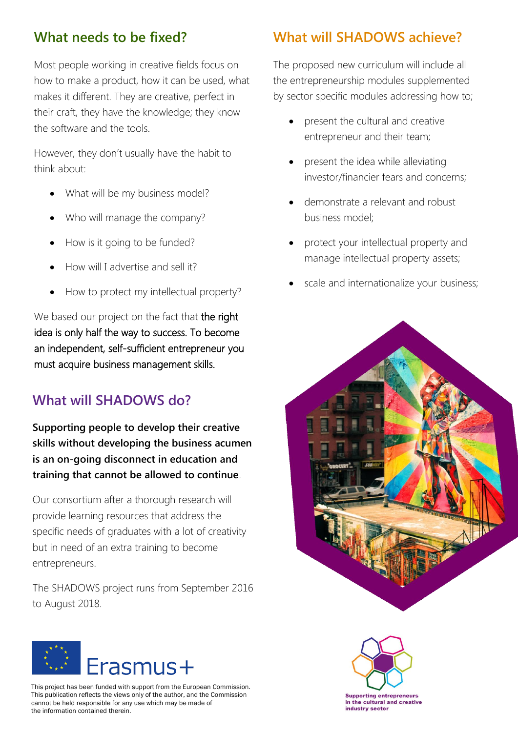#### **What needs to be fixed?**

Most people working in creative fields focus on how to make a product, how it can be used, what makes it different. They are creative, perfect in their craft, they have the knowledge; they know the software and the tools.

However, they don't usually have the habit to think about:

- What will be my business model?
- Who will manage the company?
- How is it going to be funded?
- How will I advertise and sell it?
- How to protect my intellectual property?

We based our project on the fact that the right idea is only half the way to success. To become an independent, self-sufficient entrepreneur you must acquire business management skills.

#### **What will SHADOWS do?**

**Supporting people to develop their creative skills without developing the business acumen is an on-going disconnect in education and training that cannot be allowed to continue**.

Our consortium after a thorough research will provide learning resources that address the specific needs of graduates with a lot of creativity but in need of an extra training to become entrepreneurs.

The SHADOWS project runs from September 2016 to August 2018.



This project has been funded with support from the European Commission. This publication reflects the views only of the author, and the Commission cannot be held responsible for any use which may be made of the information contained therein.

#### **What will SHADOWS achieve?**

The proposed new curriculum will include all the entrepreneurship modules supplemented by sector specific modules addressing how to;

- present the cultural and creative entrepreneur and their team;
- present the idea while alleviating investor/financier fears and concerns;
- demonstrate a relevant and robust business model;
- protect your intellectual property and manage intellectual property assets;
- scale and internationalize your business;